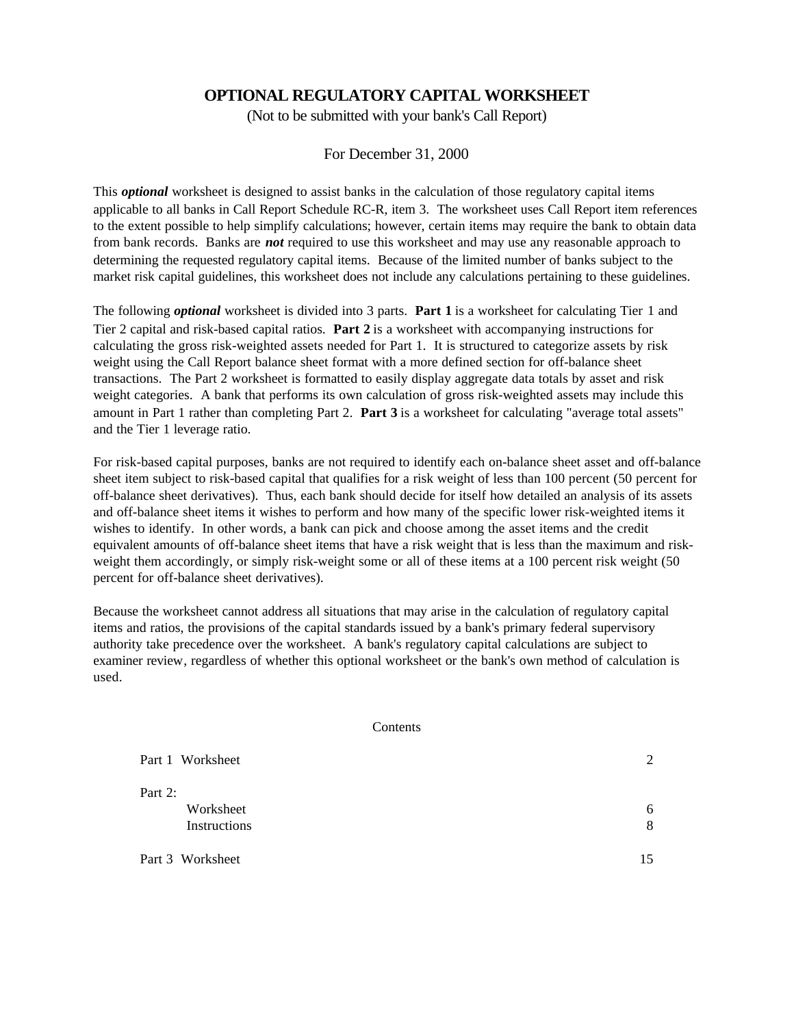# **OPTIONAL REGULATORY CAPITAL WORKSHEET**

(Not to be submitted with your bank's Call Report)

For December 31, 2000

This *optional* worksheet is designed to assist banks in the calculation of those regulatory capital items applicable to all banks in Call Report Schedule RC-R, item 3. The worksheet uses Call Report item references to the extent possible to help simplify calculations; however, certain items may require the bank to obtain data from bank records. Banks are *not* required to use this worksheet and may use any reasonable approach to determining the requested regulatory capital items. Because of the limited number of banks subject to the market risk capital guidelines, this worksheet does not include any calculations pertaining to these guidelines.

The following *optional* worksheet is divided into 3 parts. **Part 1** is a worksheet for calculating Tier 1 and Tier 2 capital and risk-based capital ratios. **Part 2** is a worksheet with accompanying instructions for calculating the gross risk-weighted assets needed for Part 1. It is structured to categorize assets by risk weight using the Call Report balance sheet format with a more defined section for off-balance sheet transactions. The Part 2 worksheet is formatted to easily display aggregate data totals by asset and risk weight categories. A bank that performs its own calculation of gross risk-weighted assets may include this amount in Part 1 rather than completing Part 2. **Part 3** is a worksheet for calculating "average total assets" and the Tier 1 leverage ratio.

For risk-based capital purposes, banks are not required to identify each on-balance sheet asset and off-balance sheet item subject to risk-based capital that qualifies for a risk weight of less than 100 percent (50 percent for off-balance sheet derivatives). Thus, each bank should decide for itself how detailed an analysis of its assets and off-balance sheet items it wishes to perform and how many of the specific lower risk-weighted items it wishes to identify. In other words, a bank can pick and choose among the asset items and the credit equivalent amounts of off-balance sheet items that have a risk weight that is less than the maximum and riskweight them accordingly, or simply risk-weight some or all of these items at a 100 percent risk weight (50 percent for off-balance sheet derivatives).

Because the worksheet cannot address all situations that may arise in the calculation of regulatory capital items and ratios, the provisions of the capital standards issued by a bank's primary federal supervisory authority take precedence over the worksheet. A bank's regulatory capital calculations are subject to examiner review, regardless of whether this optional worksheet or the bank's own method of calculation is used.

#### **Contents**

| Part 1 Worksheet | 2  |
|------------------|----|
| Part 2:          |    |
| Worksheet        | 6  |
| Instructions     | 8  |
| Part 3 Worksheet | 15 |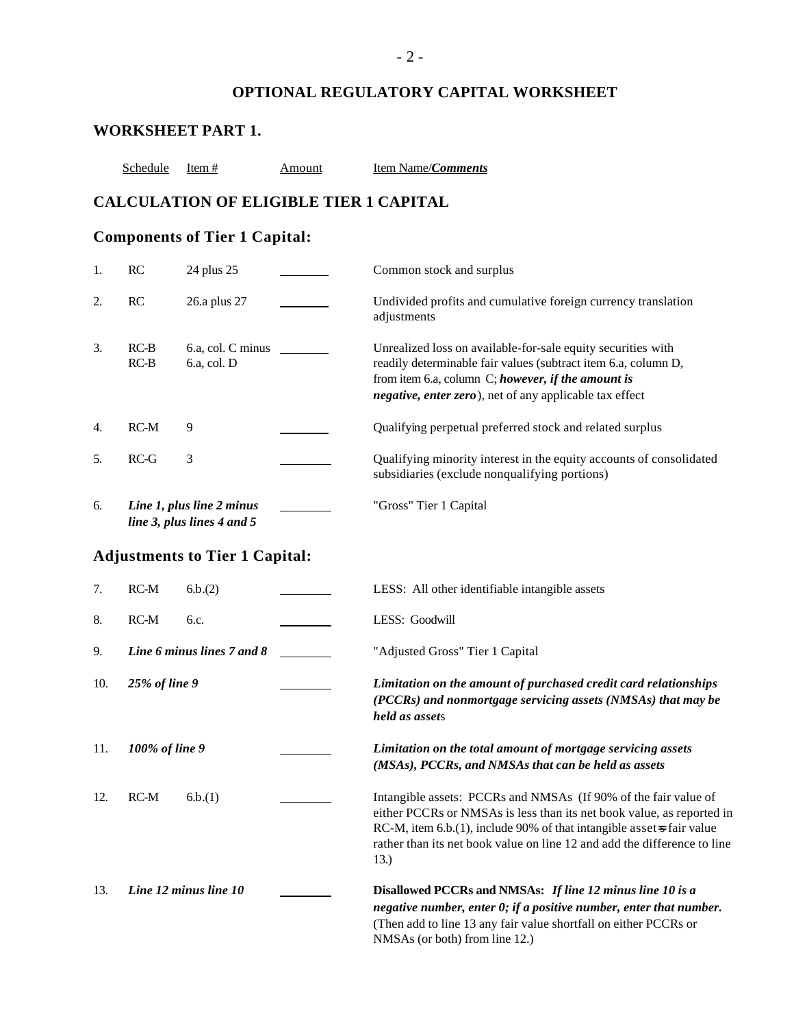# **OPTIONAL REGULATORY CAPITAL WORKSHEET**

# **WORKSHEET PART 1.**

Schedule Item # Amount Item Name/*Comments* 

# **CALCULATION OF ELIGIBLE TIER 1 CAPITAL**

# **Components of Tier 1 Capital:**

| 1.  | RC               | 24 plus 25                                              | Common stock and surplus                                                                                                                                                                                                                                                                               |
|-----|------------------|---------------------------------------------------------|--------------------------------------------------------------------------------------------------------------------------------------------------------------------------------------------------------------------------------------------------------------------------------------------------------|
| 2.  | RC               | 26.a plus 27                                            | Undivided profits and cumulative foreign currency translation<br>adjustments                                                                                                                                                                                                                           |
| 3.  | $RC-B$<br>$RC-B$ | 6.a, col. C minus<br>6.a, col. D                        | Unrealized loss on available-for-sale equity securities with<br>readily determinable fair values (subtract item 6.a, column D,<br>from item 6.a, column C; however, if the amount is<br>negative, enter zero), net of any applicable tax effect                                                        |
| 4.  | $RC-M$           | 9                                                       | Qualifying perpetual preferred stock and related surplus                                                                                                                                                                                                                                               |
| 5.  | $RC-G$           | 3                                                       | Qualifying minority interest in the equity accounts of consolidated<br>subsidiaries (exclude nonqualifying portions)                                                                                                                                                                                   |
| 6.  |                  | Line 1, plus line 2 minus<br>line 3, plus lines 4 and 5 | "Gross" Tier 1 Capital                                                                                                                                                                                                                                                                                 |
|     |                  | <b>Adjustments to Tier 1 Capital:</b>                   |                                                                                                                                                                                                                                                                                                        |
| 7.  | $RC-M$           | 6.b.(2)                                                 | LESS: All other identifiable intangible assets                                                                                                                                                                                                                                                         |
| 8.  | $RC-M$           | 6.c.                                                    | LESS: Goodwill                                                                                                                                                                                                                                                                                         |
| 9.  |                  | Line 6 minus lines 7 and 8                              | "Adjusted Gross" Tier 1 Capital                                                                                                                                                                                                                                                                        |
| 10. | 25% of line 9    |                                                         | Limitation on the amount of purchased credit card relationships<br>(PCCRs) and nonmortgage servicing assets (NMSAs) that may be<br>held as assets                                                                                                                                                      |
| 11. | 100% of line 9   |                                                         | Limitation on the total amount of mortgage servicing assets<br>(MSAs), PCCRs, and NMSAs that can be held as assets                                                                                                                                                                                     |
| 12. | $RC-M$           | 6.b.(1)                                                 | Intangible assets: PCCRs and NMSAs (If 90% of the fair value of<br>either PCCRs or NMSAs is less than its net book value, as reported in<br>RC-M, item 6.b.(1), include 90% of that intangible asset is fair value<br>rather than its net book value on line 12 and add the difference to line<br>13.) |
| 13. |                  | Line 12 minus line 10                                   | Disallowed PCCRs and NMSAs: If line 12 minus line 10 is a<br>negative number, enter 0; if a positive number, enter that number.<br>(Then add to line 13 any fair value shortfall on either PCCRs or<br>NMSAs (or both) from line 12.)                                                                  |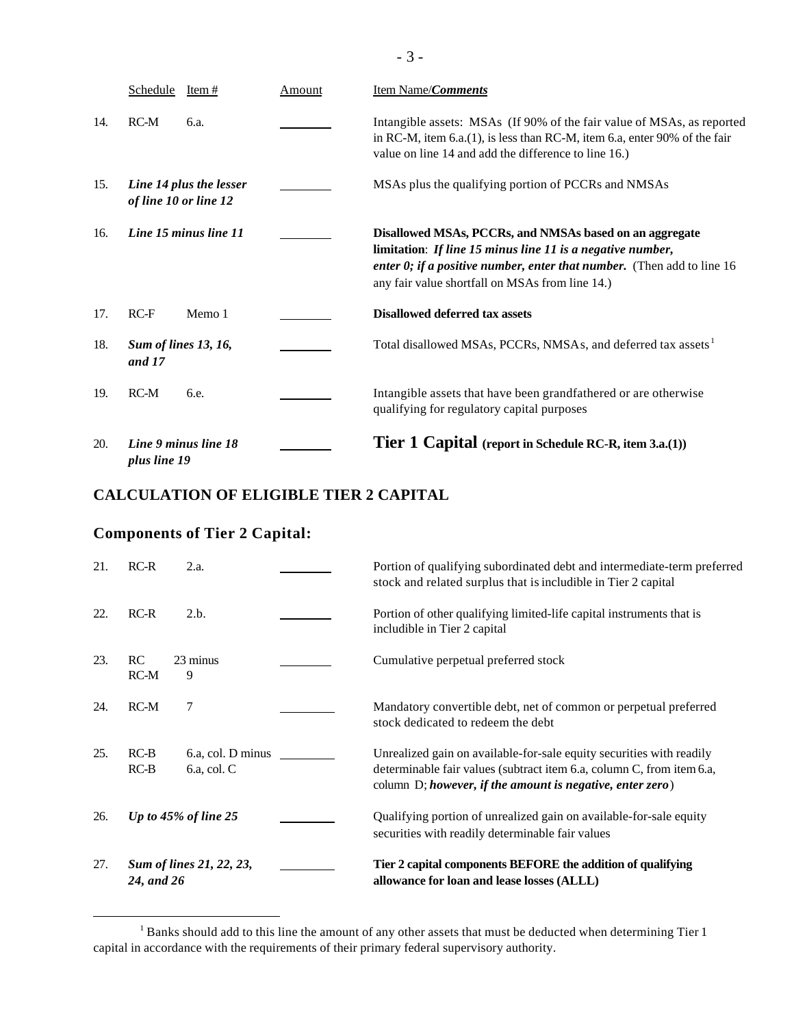|     | Schedule<br>Item $#$                             | Amount | <b>Item Name/Comments</b>                                                                                                                                                                                                                             |
|-----|--------------------------------------------------|--------|-------------------------------------------------------------------------------------------------------------------------------------------------------------------------------------------------------------------------------------------------------|
| 14. | $RC-M$<br>6.a.                                   |        | Intangible assets: MSAs (If 90% of the fair value of MSAs, as reported<br>in RC-M, item $6.a.(1)$ , is less than RC-M, item $6.a$ , enter 90% of the fair<br>value on line 14 and add the difference to line 16.)                                     |
| 15. | Line 14 plus the lesser<br>of line 10 or line 12 |        | MSAs plus the qualifying portion of PCCRs and NMSAs                                                                                                                                                                                                   |
| 16. | Line 15 minus line 11                            |        | Disallowed MSAs, PCCRs, and NMSAs based on an aggregate<br>limitation: If line 15 minus line 11 is a negative number,<br>enter $0$ ; if a positive number, enter that number. (Then add to line 16<br>any fair value shortfall on MSAs from line 14.) |
| 17. | $RC-F$<br>Memo 1                                 |        | <b>Disallowed deferred tax assets</b>                                                                                                                                                                                                                 |
| 18. | <b>Sum of lines 13, 16,</b><br>and 17            |        | Total disallowed MSAs, PCCRs, NMSAs, and deferred tax assets                                                                                                                                                                                          |
| 19. | $RC-M$<br>6.e.                                   |        | Intangible assets that have been grandfathered or are otherwise<br>qualifying for regulatory capital purposes                                                                                                                                         |
| 20. | Line 9 minus line 18<br>plus line 19             |        | <b>Tier 1 Capital</b> (report in Schedule RC-R, item 3.a.(1))                                                                                                                                                                                         |

# **CALCULATION OF ELIGIBLE TIER 2 CAPITAL**

# **Components of Tier 2 Capital:**

 $\overline{a}$ 

| 21. | $RC-R$           | 2.a.                                  | Portion of qualifying subordinated debt and intermediate-term preferred<br>stock and related surplus that is includible in Tier 2 capital                                                                     |
|-----|------------------|---------------------------------------|---------------------------------------------------------------------------------------------------------------------------------------------------------------------------------------------------------------|
| 22. | $RC-R$           | 2.b.                                  | Portion of other qualifying limited-life capital instruments that is<br>includible in Tier 2 capital                                                                                                          |
| 23. | RC<br>$RC-M$     | 23 minus<br>9                         | Cumulative perpetual preferred stock                                                                                                                                                                          |
| 24. | $RC-M$           | 7                                     | Mandatory convertible debt, net of common or perpetual preferred<br>stock dedicated to redeem the debt                                                                                                        |
| 25. | $RC-B$<br>$RC-B$ | 6.a, col. D minus<br>$6.a$ , col. $C$ | Unrealized gain on available-for-sale equity securities with readily<br>determinable fair values (subtract item 6.a, column C, from item 6.a,<br>column $D$ ; however, if the amount is negative, enter zero) |
| 26. |                  | Up to 45% of line 25                  | Qualifying portion of unrealized gain on available-for-sale equity<br>securities with readily determinable fair values                                                                                        |
| 27. | 24, and 26       | Sum of lines 21, 22, 23,              | Tier 2 capital components BEFORE the addition of qualifying<br>allowance for loan and lease losses (ALLL)                                                                                                     |

 $1$  Banks should add to this line the amount of any other assets that must be deducted when determining Tier 1 capital in accordance with the requirements of their primary federal supervisory authority.

- 3 -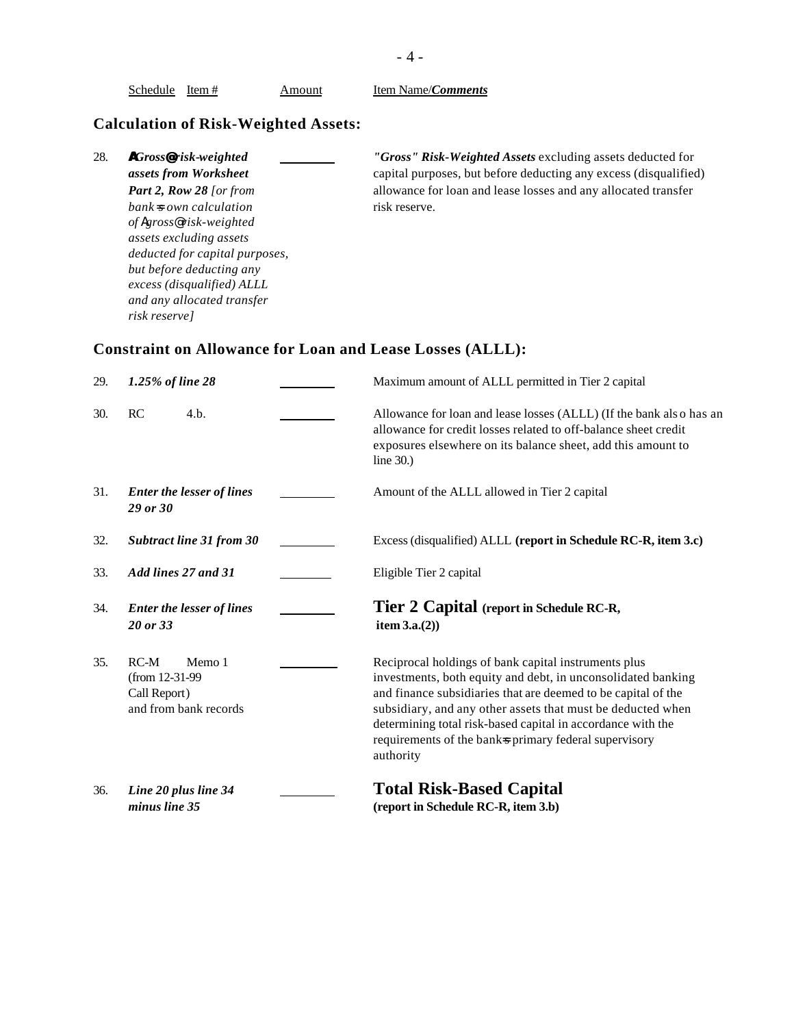| 28. | <b>A</b> Gross@risk-weighted    | "Gross" Risk-Weighted Assets excluding assets deducted for       |
|-----|---------------------------------|------------------------------------------------------------------|
|     | assets from Worksheet           | capital purposes, but before deducting any excess (disqualified) |
|     | <b>Part 2, Row 28</b> [or from  | allowance for loan and lease losses and any allocated transfer   |
|     | $bank \approx own\ calculation$ | risk reserve.                                                    |
|     | of Agross@risk-weighted         |                                                                  |
|     | assets excluding assets         |                                                                  |
|     | deducted for capital purposes,  |                                                                  |
|     | but before deducting any        |                                                                  |
|     | excess (disqualified) ALLL      |                                                                  |
|     | and any allocated transfer      |                                                                  |
|     | risk reserve]                   |                                                                  |

| 29. | 1.25% of line 28                                                             | Maximum amount of ALLL permitted in Tier 2 capital                                                                                                                                                                                                                                                                                                                                        |
|-----|------------------------------------------------------------------------------|-------------------------------------------------------------------------------------------------------------------------------------------------------------------------------------------------------------------------------------------------------------------------------------------------------------------------------------------------------------------------------------------|
| 30. | RC<br>4.b.                                                                   | Allowance for loan and lease losses (ALLL) (If the bank also has an<br>allowance for credit losses related to off-balance sheet credit<br>exposures elsewhere on its balance sheet, add this amount to<br>line $30.$ )                                                                                                                                                                    |
| 31. | <b>Enter the lesser of lines</b><br>29 or 30                                 | Amount of the ALLL allowed in Tier 2 capital                                                                                                                                                                                                                                                                                                                                              |
| 32. | <b>Subtract line 31 from 30</b>                                              | Excess (disqualified) ALLL (report in Schedule RC-R, item 3.c)                                                                                                                                                                                                                                                                                                                            |
| 33. | Add lines 27 and 31                                                          | Eligible Tier 2 capital                                                                                                                                                                                                                                                                                                                                                                   |
| 34. | <b>Enter the lesser of lines</b><br>20 or 33                                 | Tier 2 Capital (report in Schedule RC-R,<br>item $3.a.(2)$                                                                                                                                                                                                                                                                                                                                |
| 35. | $RC-M$<br>Memo 1<br>(from 12-31-99)<br>Call Report)<br>and from bank records | Reciprocal holdings of bank capital instruments plus<br>investments, both equity and debt, in unconsolidated banking<br>and finance subsidiaries that are deemed to be capital of the<br>subsidiary, and any other assets that must be deducted when<br>determining total risk-based capital in accordance with the<br>requirements of the banks primary federal supervisory<br>authority |
| 36. | Line 20 plus line 34<br>minus line 35                                        | <b>Total Risk-Based Capital</b><br>(report in Schedule RC-R, item 3.b)                                                                                                                                                                                                                                                                                                                    |

Schedule Item # **Amount** Item Name/*Comments*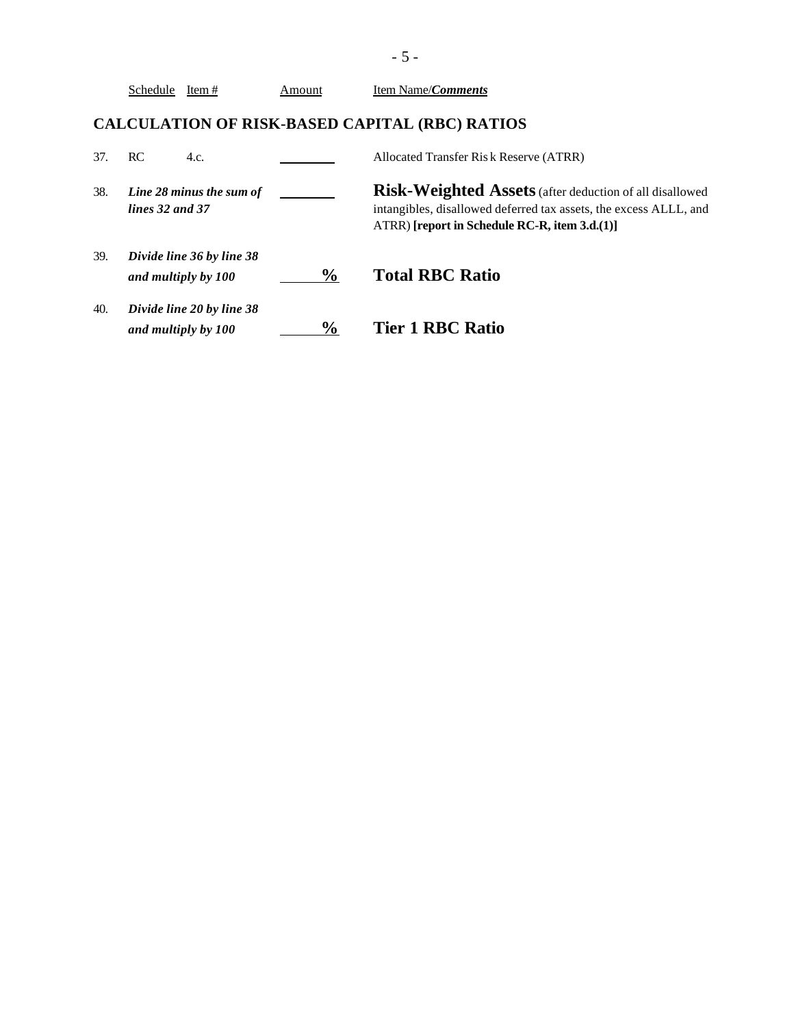|     | Schedule Item#                                   | Amount        | Item Name/ <i>Comments</i>                                                                                                                                                       |
|-----|--------------------------------------------------|---------------|----------------------------------------------------------------------------------------------------------------------------------------------------------------------------------|
|     |                                                  |               | <b>CALCULATION OF RISK-BASED CAPITAL (RBC) RATIOS</b>                                                                                                                            |
| 37. | RC.<br>4.c.                                      |               | Allocated Transfer Risk Reserve (ATRR)                                                                                                                                           |
| 38. | Line 28 minus the sum of<br>lines 32 and 37      |               | Risk-Weighted Assets (after deduction of all disallowed<br>intangibles, disallowed deferred tax assets, the excess ALLL, and<br>$ATRR$ ) [report in Schedule RC-R, item 3.d.(1)] |
| 39. | Divide line 36 by line 38<br>and multiply by 100 | $\frac{6}{9}$ | <b>Total RBC Ratio</b>                                                                                                                                                           |
| 40. | Divide line 20 by line 38<br>and multiply by 100 | $\frac{0}{0}$ | <b>Tier 1 RBC Ratio</b>                                                                                                                                                          |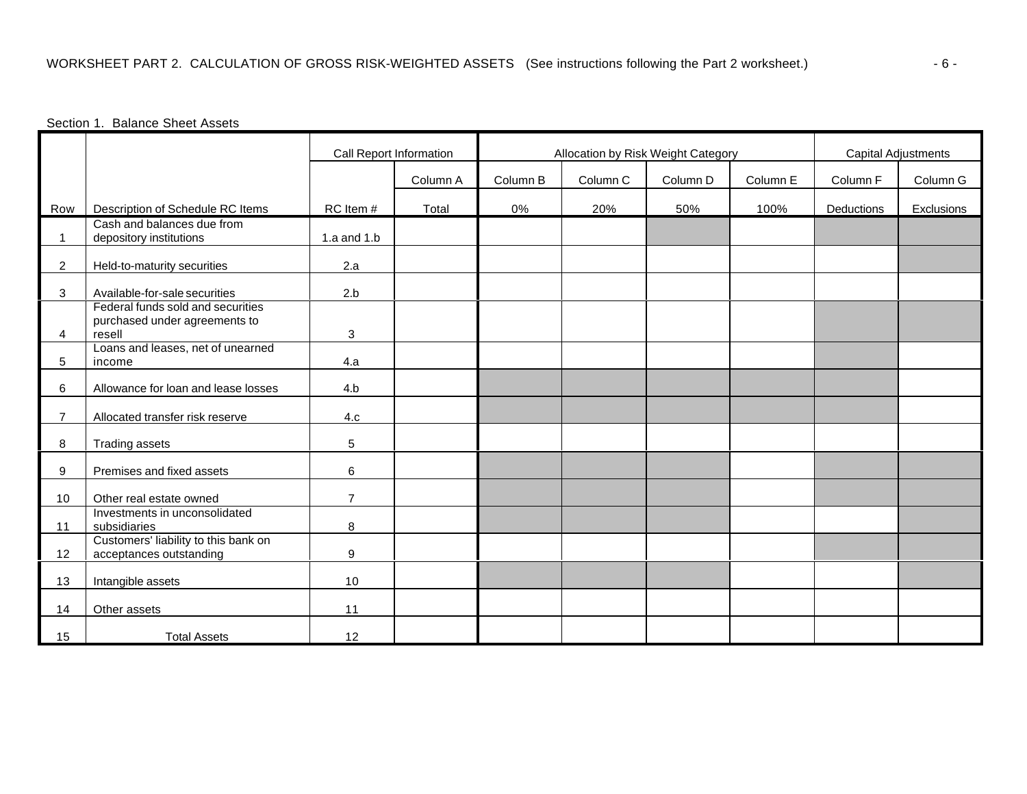## Section 1. Balance Sheet Assets

|                |                                                                              | Call Report Information |          | Allocation by Risk Weight Category |          |          |          | <b>Capital Adjustments</b> |            |
|----------------|------------------------------------------------------------------------------|-------------------------|----------|------------------------------------|----------|----------|----------|----------------------------|------------|
|                |                                                                              |                         | Column A | Column B                           | Column C | Column D | Column E | Column F                   | Column G   |
| Row            | Description of Schedule RC Items                                             | RC Item #               | Total    | 0%                                 | 20%      | 50%      | 100%     | Deductions                 | Exclusions |
| $\mathbf{1}$   | Cash and balances due from<br>depository institutions                        | 1.a and $1.b$           |          |                                    |          |          |          |                            |            |
| $\overline{2}$ | Held-to-maturity securities                                                  | 2.a                     |          |                                    |          |          |          |                            |            |
| 3              | Available-for-sale securities                                                | 2.b                     |          |                                    |          |          |          |                            |            |
| 4              | Federal funds sold and securities<br>purchased under agreements to<br>resell | 3                       |          |                                    |          |          |          |                            |            |
| 5              | Loans and leases, net of unearned<br>income                                  | 4.a                     |          |                                    |          |          |          |                            |            |
| 6              | Allowance for loan and lease losses                                          | 4.b                     |          |                                    |          |          |          |                            |            |
| $\overline{7}$ | Allocated transfer risk reserve                                              | 4.c                     |          |                                    |          |          |          |                            |            |
| 8              | <b>Trading assets</b>                                                        | 5                       |          |                                    |          |          |          |                            |            |
| 9              | Premises and fixed assets                                                    | 6                       |          |                                    |          |          |          |                            |            |
| 10             | Other real estate owned                                                      | $\overline{7}$          |          |                                    |          |          |          |                            |            |
| 11             | Investments in unconsolidated<br>subsidiaries                                | 8                       |          |                                    |          |          |          |                            |            |
| 12             | Customers' liability to this bank on<br>acceptances outstanding              | 9                       |          |                                    |          |          |          |                            |            |
| 13             | Intangible assets                                                            | 10                      |          |                                    |          |          |          |                            |            |
| 14             | Other assets                                                                 | 11                      |          |                                    |          |          |          |                            |            |
| 15             | <b>Total Assets</b>                                                          | 12                      |          |                                    |          |          |          |                            |            |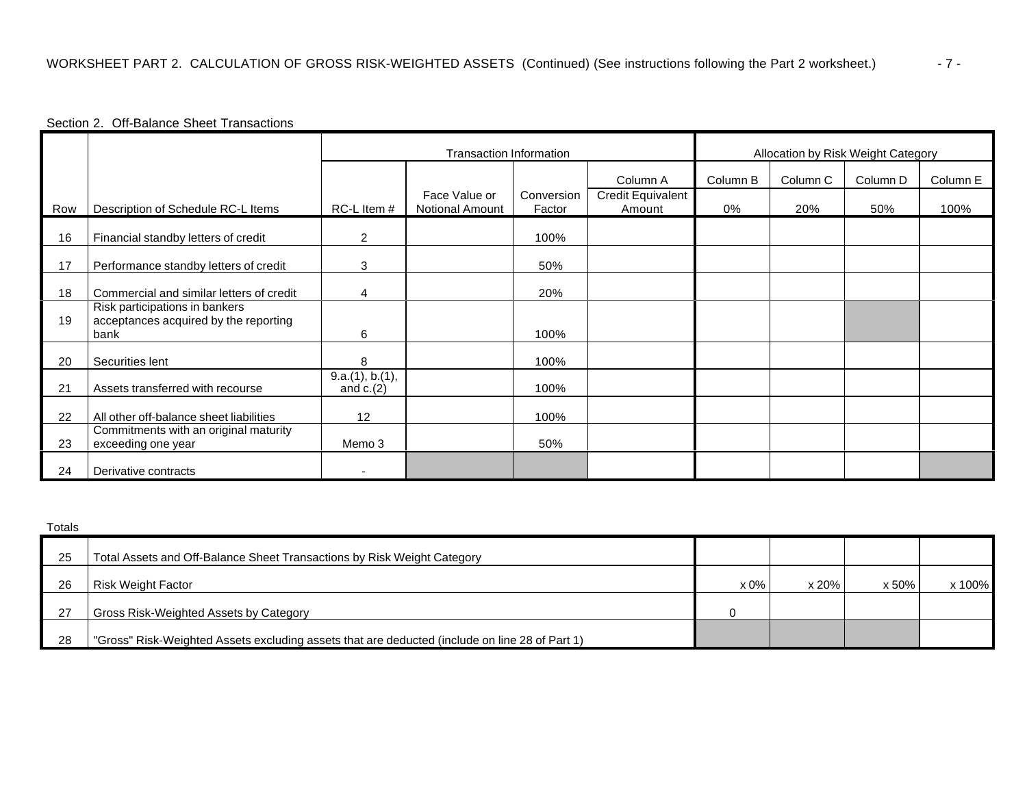## Section 2. Off-Balance Sheet Transactions

|     |                                                                                 | Transaction Information        |                                  |                      |                             | Allocation by Risk Weight Category |                     |                     |          |
|-----|---------------------------------------------------------------------------------|--------------------------------|----------------------------------|----------------------|-----------------------------|------------------------------------|---------------------|---------------------|----------|
|     |                                                                                 |                                |                                  |                      | Column A                    | Column B                           | Column <sub>C</sub> | Column <sub>D</sub> | Column E |
| Row | Description of Schedule RC-L Items                                              | RC-L Item #                    | Face Value or<br>Notional Amount | Conversion<br>Factor | Credit Equivalent<br>Amount | 0%                                 | 20%                 | 50%                 | 100%     |
| 16  | Financial standby letters of credit                                             | 2                              |                                  | 100%                 |                             |                                    |                     |                     |          |
| 17  | Performance standby letters of credit                                           | 3                              |                                  | 50%                  |                             |                                    |                     |                     |          |
| 18  | Commercial and similar letters of credit                                        | 4                              |                                  | 20%                  |                             |                                    |                     |                     |          |
| 19  | Risk participations in bankers<br>acceptances acquired by the reporting<br>bank | 6                              |                                  | 100%                 |                             |                                    |                     |                     |          |
| 20  | Securities lent                                                                 | 8                              |                                  | 100%                 |                             |                                    |                     |                     |          |
| 21  | Assets transferred with recourse                                                | 9.a.(1), b.(1),<br>and $c.(2)$ |                                  | 100%                 |                             |                                    |                     |                     |          |
| 22  | All other off-balance sheet liabilities                                         | 12                             |                                  | 100%                 |                             |                                    |                     |                     |          |
| 23  | Commitments with an original maturity<br>exceeding one year                     | Memo 3                         |                                  | 50%                  |                             |                                    |                     |                     |          |
| 24  | Derivative contracts                                                            |                                |                                  |                      |                             |                                    |                     |                     |          |

| Totals |                                                                                                |        |       |       |        |
|--------|------------------------------------------------------------------------------------------------|--------|-------|-------|--------|
| 25     | Total Assets and Off-Balance Sheet Transactions by Risk Weight Category                        |        |       |       |        |
| 26     | Risk Weight Factor                                                                             | $x0\%$ | x 20% | x 50% | x 100% |
| -27    | Gross Risk-Weighted Assets by Category                                                         |        |       |       |        |
| 28     | "Gross" Risk-Weighted Assets excluding assets that are deducted (include on line 28 of Part 1) |        |       |       |        |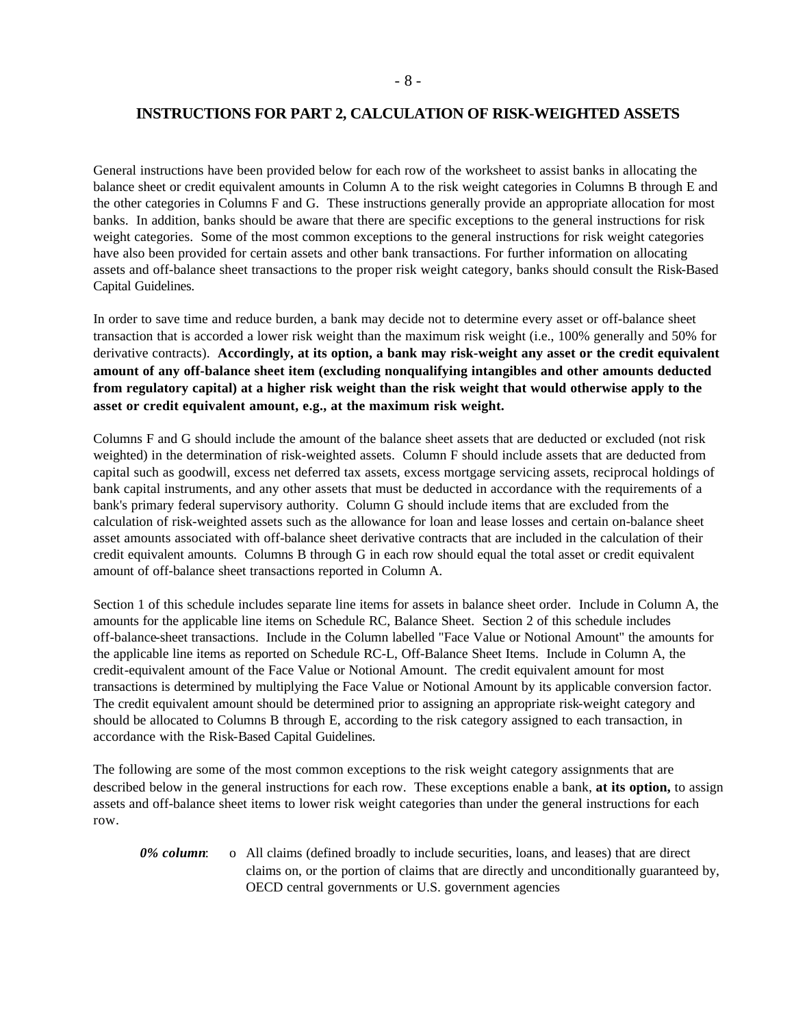## **INSTRUCTIONS FOR PART 2, CALCULATION OF RISK-WEIGHTED ASSETS**

General instructions have been provided below for each row of the worksheet to assist banks in allocating the balance sheet or credit equivalent amounts in Column A to the risk weight categories in Columns B through E and the other categories in Columns F and G. These instructions generally provide an appropriate allocation for most banks. In addition, banks should be aware that there are specific exceptions to the general instructions for risk weight categories. Some of the most common exceptions to the general instructions for risk weight categories have also been provided for certain assets and other bank transactions. For further information on allocating assets and off-balance sheet transactions to the proper risk weight category, banks should consult the Risk-Based Capital Guidelines.

In order to save time and reduce burden, a bank may decide not to determine every asset or off-balance sheet transaction that is accorded a lower risk weight than the maximum risk weight (i.e., 100% generally and 50% for derivative contracts). **Accordingly, at its option, a bank may risk-weight any asset or the credit equivalent amount of any off-balance sheet item (excluding nonqualifying intangibles and other amounts deducted from regulatory capital) at a higher risk weight than the risk weight that would otherwise apply to the asset or credit equivalent amount, e.g., at the maximum risk weight.** 

Columns F and G should include the amount of the balance sheet assets that are deducted or excluded (not risk weighted) in the determination of risk-weighted assets. Column F should include assets that are deducted from capital such as goodwill, excess net deferred tax assets, excess mortgage servicing assets, reciprocal holdings of bank capital instruments, and any other assets that must be deducted in accordance with the requirements of a bank's primary federal supervisory authority. Column G should include items that are excluded from the calculation of risk-weighted assets such as the allowance for loan and lease losses and certain on-balance sheet asset amounts associated with off-balance sheet derivative contracts that are included in the calculation of their credit equivalent amounts. Columns B through G in each row should equal the total asset or credit equivalent amount of off-balance sheet transactions reported in Column A.

Section 1 of this schedule includes separate line items for assets in balance sheet order. Include in Column A, the amounts for the applicable line items on Schedule RC, Balance Sheet. Section 2 of this schedule includes off-balance-sheet transactions. Include in the Column labelled "Face Value or Notional Amount" the amounts for the applicable line items as reported on Schedule RC-L, Off-Balance Sheet Items. Include in Column A, the credit-equivalent amount of the Face Value or Notional Amount. The credit equivalent amount for most transactions is determined by multiplying the Face Value or Notional Amount by its applicable conversion factor. The credit equivalent amount should be determined prior to assigning an appropriate risk-weight category and should be allocated to Columns B through E, according to the risk category assigned to each transaction, in accordance with the Risk-Based Capital Guidelines.

The following are some of the most common exceptions to the risk weight category assignments that are described below in the general instructions for each row. These exceptions enable a bank, **at its option,** to assign assets and off-balance sheet items to lower risk weight categories than under the general instructions for each row.

*0% column*: o All claims (defined broadly to include securities, loans, and leases) that are direct claims on, or the portion of claims that are directly and unconditionally guaranteed by, OECD central governments or U.S. government agencies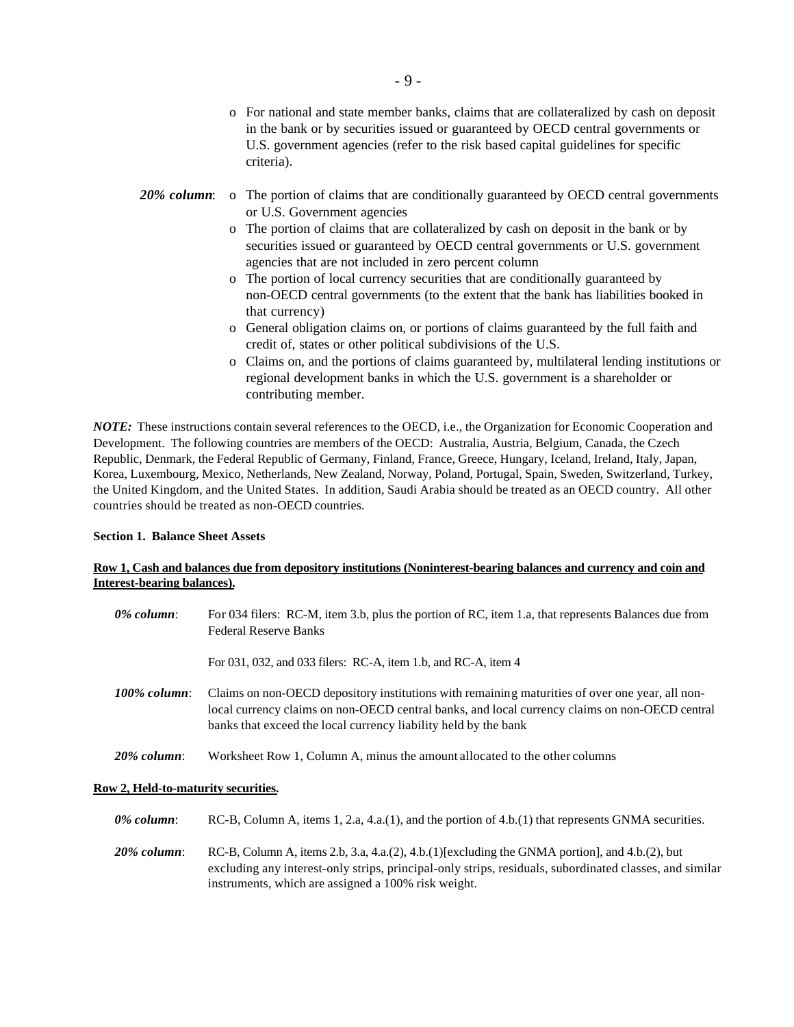- o For national and state member banks, claims that are collateralized by cash on deposit in the bank or by securities issued or guaranteed by OECD central governments or U.S. government agencies (refer to the risk based capital guidelines for specific criteria).
- 20% column: o The portion of claims that are conditionally guaranteed by OECD central governments or U.S. Government agencies
	- o The portion of claims that are collateralized by cash on deposit in the bank or by securities issued or guaranteed by OECD central governments or U.S. government agencies that are not included in zero percent column
	- o The portion of local currency securities that are conditionally guaranteed by non-OECD central governments (to the extent that the bank has liabilities booked in that currency)
	- o General obligation claims on, or portions of claims guaranteed by the full faith and credit of, states or other political subdivisions of the U.S.
	- o Claims on, and the portions of claims guaranteed by, multilateral lending institutions or regional development banks in which the U.S. government is a shareholder or contributing member.

*NOTE:* These instructions contain several references to the OECD, i.e., the Organization for Economic Cooperation and Development. The following countries are members of the OECD: Australia, Austria, Belgium, Canada, the Czech Republic, Denmark, the Federal Republic of Germany, Finland, France, Greece, Hungary, Iceland, Ireland, Italy, Japan, Korea, Luxembourg, Mexico, Netherlands, New Zealand, Norway, Poland, Portugal, Spain, Sweden, Switzerland, Turkey, the United Kingdom, and the United States. In addition, Saudi Arabia should be treated as an OECD country. All other countries should be treated as non-OECD countries.

#### **Section 1. Balance Sheet Assets**

## **Row 1, Cash and balances due from depository institutions (Noninterest-bearing balances and currency and coin and Interest-bearing balances).**

| 0% column:      | For 034 filers: RC-M, item 3.b, plus the portion of RC, item 1.a, that represents Balances due from<br><b>Federal Reserve Banks</b>                                                                                                                                  |
|-----------------|----------------------------------------------------------------------------------------------------------------------------------------------------------------------------------------------------------------------------------------------------------------------|
|                 | For 031, 032, and 033 filers: RC-A, item 1.b, and RC-A, item 4                                                                                                                                                                                                       |
| $100\%$ column: | Claims on non-OECD depository institutions with remaining maturities of over one year, all non-<br>local currency claims on non-OECD central banks, and local currency claims on non-OECD central<br>banks that exceed the local currency liability held by the bank |
| $20\%$ column:  | Worksheet Row 1, Column A, minus the amount allocated to the other columns                                                                                                                                                                                           |

## **Row 2, Held-to-maturity securities.**

*0% column*: RC-B, Column A, items 1, 2.a, 4.a.(1), and the portion of 4.b.(1) that represents GNMA securities.

*20% column*: RC-B, Column A, items 2.b, 3.a, 4.a.(2), 4.b.(1)[excluding the GNMA portion], and 4.b.(2), but excluding any interest-only strips, principal-only strips, residuals, subordinated classes, and similar instruments, which are assigned a 100% risk weight.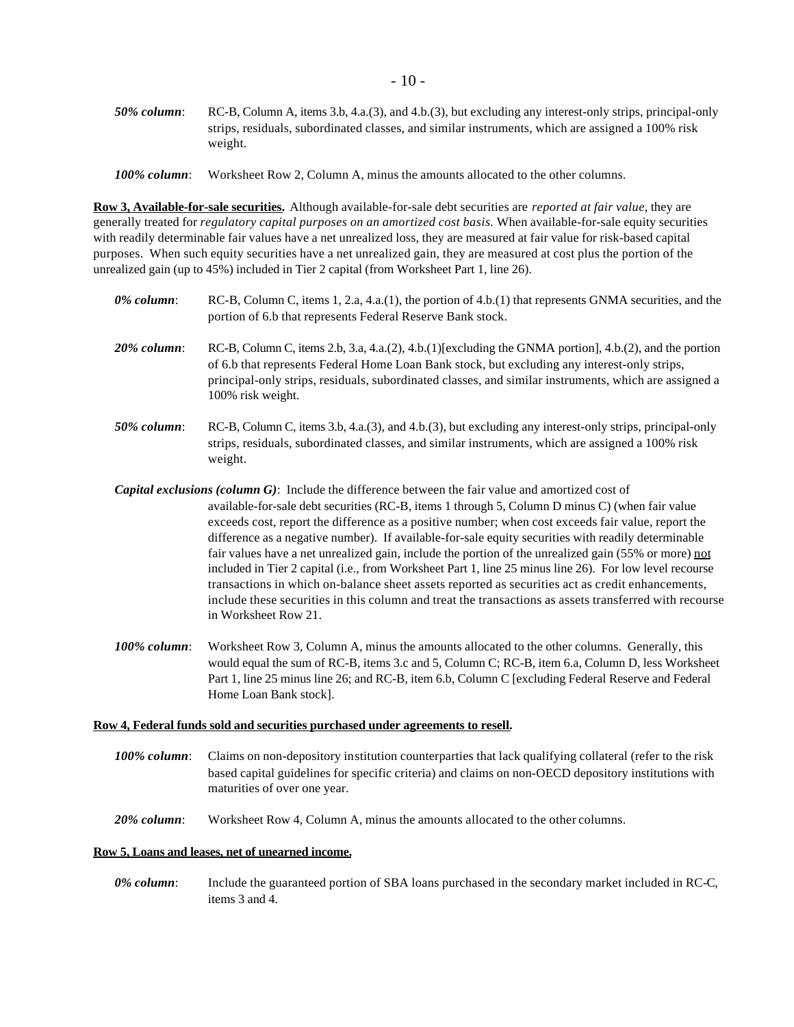*50% column*: RC-B, Column A, items 3.b, 4.a.(3), and 4.b.(3), but excluding any interest-only strips, principal-only strips, residuals, subordinated classes, and similar instruments, which are assigned a 100% risk weight.

*100% column*: Worksheet Row 2, Column A, minus the amounts allocated to the other columns.

**Row 3, Available-for-sale securities.** Although available-for-sale debt securities are *reported at fair value*, they are generally treated for *regulatory capital purposes on an amortized cost basis.* When available-for-sale equity securities with readily determinable fair values have a net unrealized loss, they are measured at fair value for risk-based capital purposes. When such equity securities have a net unrealized gain, they are measured at cost plus the portion of the unrealized gain (up to 45%) included in Tier 2 capital (from Worksheet Part 1, line 26).

*0% column*: RC-B, Column C, items 1, 2.a, 4.a.(1), the portion of 4.b.(1) that represents GNMA securities, and the portion of 6.b that represents Federal Reserve Bank stock. *20% column*: RC-B, Column C, items 2.b, 3.a, 4.a.(2), 4.b.(1)[excluding the GNMA portion], 4.b.(2), and the portion of 6.b that represents Federal Home Loan Bank stock, but excluding any interest-only strips, principal-only strips, residuals, subordinated classes, and similar instruments, which are assigned a 100% risk weight. *50% column*: RC-B, Column C, items 3.b, 4.a.(3), and 4.b.(3), but excluding any interest-only strips, principal-only strips, residuals, subordinated classes, and similar instruments, which are assigned a 100% risk

*Capital exclusions (column G)*: Include the difference between the fair value and amortized cost of available-for-sale debt securities (RC-B, items 1 through 5, Column D minus C) (when fair value exceeds cost, report the difference as a positive number; when cost exceeds fair value, report the difference as a negative number). If available-for-sale equity securities with readily determinable fair values have a net unrealized gain, include the portion of the unrealized gain (55% or more) not included in Tier 2 capital (i.e., from Worksheet Part 1, line 25 minus line 26). For low level recourse transactions in which on-balance sheet assets reported as securities act as credit enhancements, include these securities in this column and treat the transactions as assets transferred with recourse in Worksheet Row 21.

*100% column*: Worksheet Row 3, Column A, minus the amounts allocated to the other columns. Generally, this would equal the sum of RC-B, items 3.c and 5, Column C; RC-B, item 6.a, Column D, less Worksheet Part 1, line 25 minus line 26; and RC-B, item 6.b, Column C [excluding Federal Reserve and Federal Home Loan Bank stock].

#### **Row 4, Federal funds sold and securities purchased under agreements to resell.**

- *100% column*: Claims on non-depository institution counterparties that lack qualifying collateral (refer to the risk based capital guidelines for specific criteria) and claims on non-OECD depository institutions with maturities of over one year.
- *20% column*: Worksheet Row 4, Column A, minus the amounts allocated to the other columns.

#### **Row 5, Loans and leases, net of unearned income.**

weight.

*0% column*: Include the guaranteed portion of SBA loans purchased in the secondary market included in RC-C, items 3 and 4.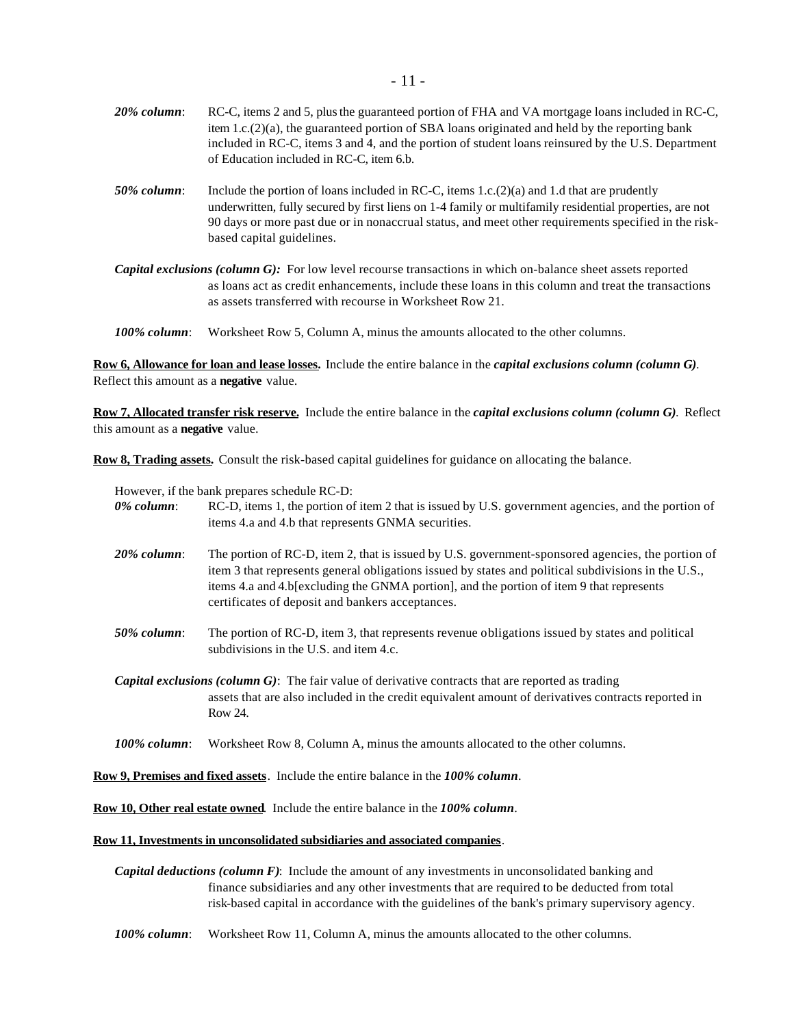| $20\%$ column: | RC-C, items 2 and 5, plus the guaranteed portion of FHA and VA mortgage loans included in RC-C,<br>item 1.c. $(2)(a)$ , the guaranteed portion of SBA loans originated and held by the reporting bank<br>included in RC-C, items 3 and 4, and the portion of student loans reinsured by the U.S. Department<br>of Education included in RC-C, item 6.b. |
|----------------|---------------------------------------------------------------------------------------------------------------------------------------------------------------------------------------------------------------------------------------------------------------------------------------------------------------------------------------------------------|
| $50\%$ column: | Include the portion of loans included in RC-C, items 1.c.(2)(a) and 1.d that are prudently<br>underwritten, fully secured by first liens on 1-4 family or multifamily residential properties, are not<br>90 days or more past due or in nonaccrual status, and meet other requirements specified in the risk-<br>based capital guidelines.              |

*Capital exclusions (column G):* For low level recourse transactions in which on-balance sheet assets reported as loans act as credit enhancements, include these loans in this column and treat the transactions as assets transferred with recourse in Worksheet Row 21.

*100% column*: Worksheet Row 5, Column A, minus the amounts allocated to the other columns.

**Row 6, Allowance for loan and lease losses.** Include the entire balance in the *capital exclusions column (column G)*. Reflect this amount as a **negative** value.

**Row 7, Allocated transfer risk reserve.** Include the entire balance in the *capital exclusions column (column G)*. Reflect this amount as a **negative** value.

**Row 8, Trading assets.** Consult the risk-based capital guidelines for guidance on allocating the balance.

However, if the bank prepares schedule RC-D:

| 0% column:   | RC-D, items 1, the portion of item 2 that is issued by U.S. government agencies, and the portion of<br>items 4.a and 4.b that represents GNMA securities.                                                                                                                                                                                                |  |  |  |
|--------------|----------------------------------------------------------------------------------------------------------------------------------------------------------------------------------------------------------------------------------------------------------------------------------------------------------------------------------------------------------|--|--|--|
| 20% column:  | The portion of RC-D, item 2, that is issued by U.S. government-sponsored agencies, the portion of<br>item 3 that represents general obligations issued by states and political subdivisions in the U.S.,<br>items 4.a and 4.b[excluding the GNMA portion], and the portion of item 9 that represents<br>certificates of deposit and bankers acceptances. |  |  |  |
| 50% column:  | The portion of RC-D, item 3, that represents revenue obligations issued by states and political<br>subdivisions in the U.S. and item 4.c.                                                                                                                                                                                                                |  |  |  |
|              | <i>Capital exclusions (column G)</i> : The fair value of derivative contracts that are reported as trading<br>assets that are also included in the credit equivalent amount of derivatives contracts reported in<br>Row 24.                                                                                                                              |  |  |  |
| 100% column: | Worksheet Row 8, Column A, minus the amounts allocated to the other columns.                                                                                                                                                                                                                                                                             |  |  |  |

**Row 9, Premises and fixed assets**. Include the entire balance in the *100% column*.

**Row 10, Other real estate owned**. Include the entire balance in the *100% column*.

#### **Row 11, Investments in unconsolidated subsidiaries and associated companies**.

*Capital deductions (column F)*: Include the amount of any investments in unconsolidated banking and finance subsidiaries and any other investments that are required to be deducted from total risk-based capital in accordance with the guidelines of the bank's primary supervisory agency.

*100% column*: Worksheet Row 11, Column A, minus the amounts allocated to the other columns.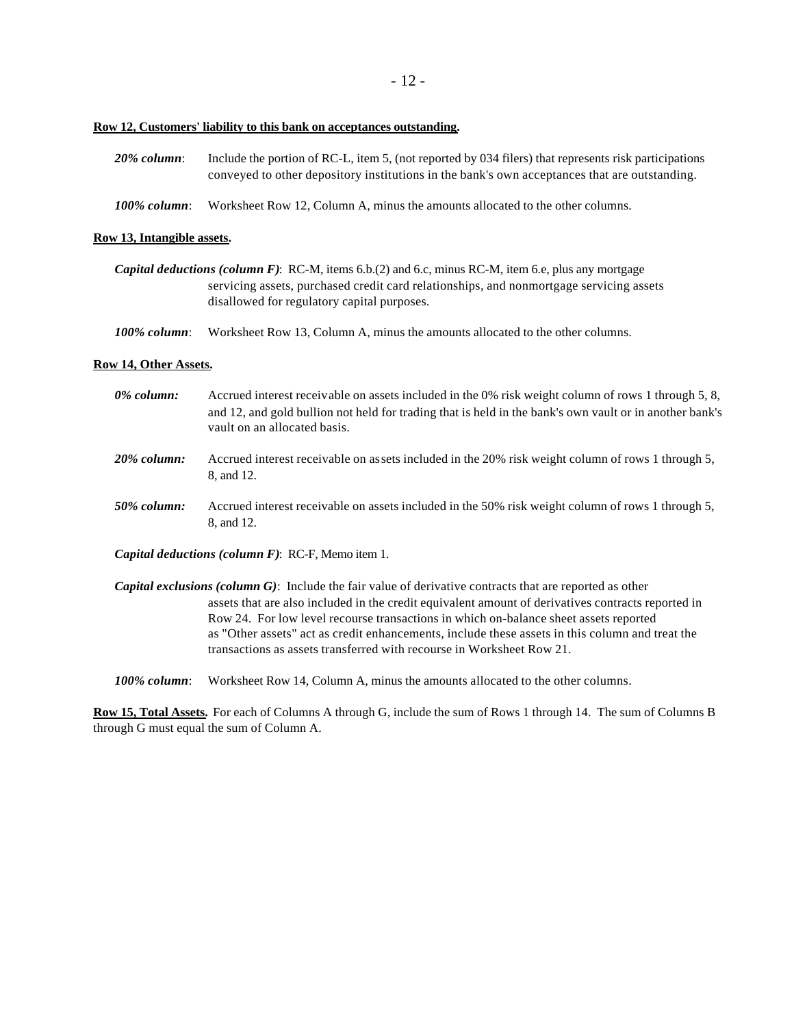- 12 -

### **Row 12, Customers' liability to this bank on acceptances outstanding.**

| $20\%$ column:  | Include the portion of RC-L, item 5, (not reported by 034 filers) that represents risk participations<br>conveyed to other depository institutions in the bank's own acceptances that are outstanding. |
|-----------------|--------------------------------------------------------------------------------------------------------------------------------------------------------------------------------------------------------|
| $100\%$ column: | Worksheet Row 12, Column A, minus the amounts allocated to the other columns.                                                                                                                          |

#### **Row 13, Intangible assets.**

| <i>Capital deductions (column F)</i> : RC-M, items 6.b.(2) and 6.c, minus RC-M, item 6.e, plus any mortgage |
|-------------------------------------------------------------------------------------------------------------|
| servicing assets, purchased credit card relationships, and nonmortgage servicing assets                     |
| disallowed for regulatory capital purposes.                                                                 |

*100% column*: Worksheet Row 13, Column A, minus the amounts allocated to the other columns.

#### **Row 14, Other Assets.**

| 0% column:     | Accrued interest receivable on assets included in the 0% risk weight column of rows 1 through 5, 8,<br>and 12, and gold bullion not held for trading that is held in the bank's own vault or in another bank's<br>vault on an allocated basis.                                                                 |
|----------------|----------------------------------------------------------------------------------------------------------------------------------------------------------------------------------------------------------------------------------------------------------------------------------------------------------------|
| $20\%$ column: | Accrued interest receivable on assets included in the 20% risk weight column of rows 1 through 5,<br>8, and 12.                                                                                                                                                                                                |
| 50% column:    | Accrued interest receivable on assets included in the 50% risk weight column of rows 1 through 5,<br>8, and 12.                                                                                                                                                                                                |
|                | <i>Capital deductions (column F)</i> : RC-F, Memo item 1.                                                                                                                                                                                                                                                      |
|                | <b>Capital exclusions (column G):</b> Include the fair value of derivative contracts that are reported as other<br>assets that are also included in the credit equivalent amount of derivatives contracts reported in<br>Row 24. For low level recourse transactions in which on-balance sheet assets reported |

transactions as assets transferred with recourse in Worksheet Row 21.

as "Other assets" act as credit enhancements, include these assets in this column and treat the

*100% column*: Worksheet Row 14, Column A, minus the amounts allocated to the other columns.

**Row 15, Total Assets.** For each of Columns A through G, include the sum of Rows 1 through 14. The sum of Columns B through G must equal the sum of Column A.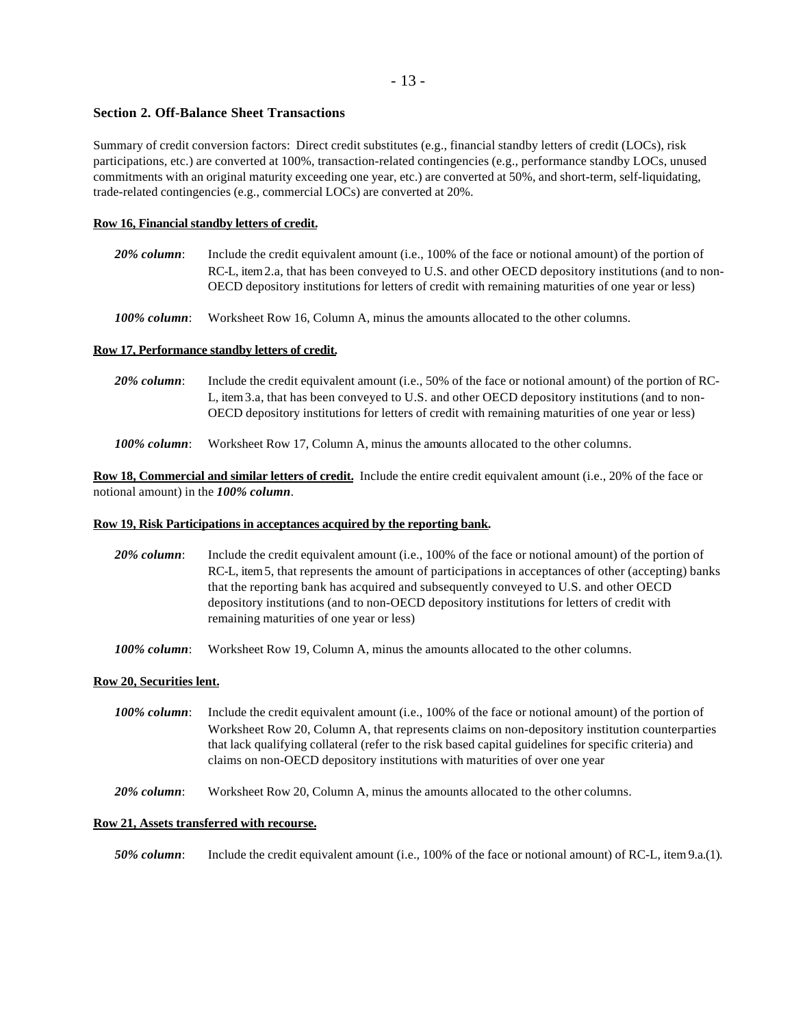## - 13 -

#### **Section 2. Off-Balance Sheet Transactions**

Summary of credit conversion factors: Direct credit substitutes (e.g., financial standby letters of credit (LOCs), risk participations, etc.) are converted at 100%, transaction-related contingencies (e.g., performance standby LOCs, unused commitments with an original maturity exceeding one year, etc.) are converted at 50%, and short-term, self-liquidating, trade-related contingencies (e.g., commercial LOCs) are converted at 20%.

#### **Row 16, Financial standby letters of credit.**

- *20% column*: Include the credit equivalent amount (i.e., 100% of the face or notional amount) of the portion of RC-L, item 2.a, that has been conveyed to U.S. and other OECD depository institutions (and to non-OECD depository institutions for letters of credit with remaining maturities of one year or less)
- *100% column*: Worksheet Row 16, Column A, minus the amounts allocated to the other columns.

#### **Row 17, Performance standby letters of credit.**

| $20\%$ column:  | Include the credit equivalent amount (i.e., 50% of the face or notional amount) of the portion of RC-<br>L, item 3.a, that has been conveyed to U.S. and other OECD depository institutions (and to non-<br>OECD depository institutions for letters of credit with remaining maturities of one year or less) |
|-----------------|---------------------------------------------------------------------------------------------------------------------------------------------------------------------------------------------------------------------------------------------------------------------------------------------------------------|
| $100\%$ column: | Worksheet Row 17, Column A, minus the amounts allocated to the other columns.                                                                                                                                                                                                                                 |

**Row 18, Commercial and similar letters of credit.** Include the entire credit equivalent amount (i.e., 20% of the face or notional amount) in the *100% column*.

#### **Row 19, Risk Participations in acceptances acquired by the reporting bank.**

| $20\%$ column: | Include the credit equivalent amount (i.e., 100% of the face or notional amount) of the portion of   |
|----------------|------------------------------------------------------------------------------------------------------|
|                | RC-L, item 5, that represents the amount of participations in acceptances of other (accepting) banks |
|                | that the reporting bank has acquired and subsequently conveyed to U.S. and other OECD                |
|                | depository institutions (and to non-OECD depository institutions for letters of credit with          |
|                | remaining maturities of one year or less)                                                            |

*100% column*: Worksheet Row 19, Column A, minus the amounts allocated to the other columns.

#### **Row 20, Securities lent.**

*100% column*: Include the credit equivalent amount (i.e., 100% of the face or notional amount) of the portion of Worksheet Row 20, Column A, that represents claims on non-depository institution counterparties that lack qualifying collateral (refer to the risk based capital guidelines for specific criteria) and claims on non-OECD depository institutions with maturities of over one year

*20% column*: Worksheet Row 20, Column A, minus the amounts allocated to the other columns.

#### **Row 21, Assets transferred with recourse.**

*50% column*: Include the credit equivalent amount (i.e., 100% of the face or notional amount) of RC-L, item 9.a.(1).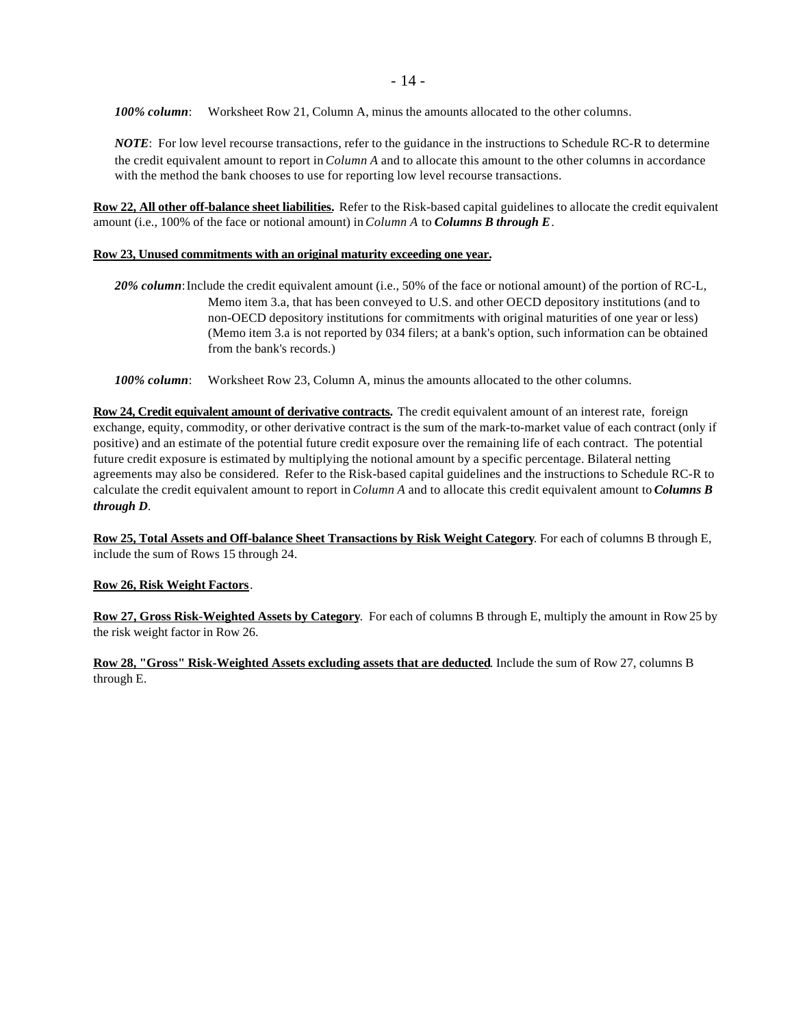- 14 -

*100% column*: Worksheet Row 21, Column A, minus the amounts allocated to the other columns.

*NOTE*: For low level recourse transactions, refer to the guidance in the instructions to Schedule RC-R to determine the credit equivalent amount to report in *Column A* and to allocate this amount to the other columns in accordance with the method the bank chooses to use for reporting low level recourse transactions.

**Row 22, All other off-balance sheet liabilities.** Refer to the Risk-based capital guidelines to allocate the credit equivalent amount (i.e., 100% of the face or notional amount) in *Column A* to *Columns B through E*.

#### **Row 23, Unused commitments with an original maturity exceeding one year.**

- *20% column*:Include the credit equivalent amount (i.e., 50% of the face or notional amount) of the portion of RC-L, Memo item 3.a, that has been conveyed to U.S. and other OECD depository institutions (and to non-OECD depository institutions for commitments with original maturities of one year or less) (Memo item 3.a is not reported by 034 filers; at a bank's option, such information can be obtained from the bank's records.)
- *100% column*: Worksheet Row 23, Column A, minus the amounts allocated to the other columns.

**Row 24, Credit equivalent amount of derivative contracts.** The credit equivalent amount of an interest rate, foreign exchange, equity, commodity, or other derivative contract is the sum of the mark-to-market value of each contract (only if positive) and an estimate of the potential future credit exposure over the remaining life of each contract. The potential future credit exposure is estimated by multiplying the notional amount by a specific percentage. Bilateral netting agreements may also be considered. Refer to the Risk-based capital guidelines and the instructions to Schedule RC-R to calculate the credit equivalent amount to report in *Column A* and to allocate this credit equivalent amount to *Columns B through D*.

**Row 25, Total Assets and Off-balance Sheet Transactions by Risk Weight Category**. For each of columns B through E, include the sum of Rows 15 through 24.

## **Row 26, Risk Weight Factors**.

**Row 27, Gross Risk-Weighted Assets by Category**. For each of columns B through E, multiply the amount in Row 25 by the risk weight factor in Row 26.

**Row 28, "Gross" Risk-Weighted Assets excluding assets that are deducted**. Include the sum of Row 27, columns B through E.